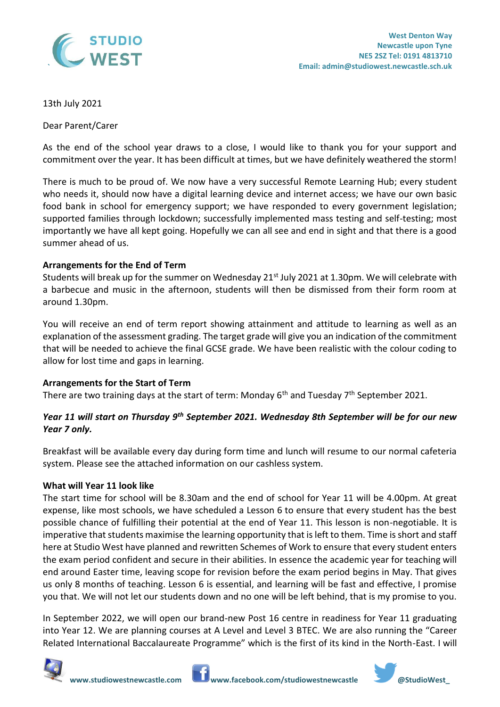

# 13th July 2021

Dear Parent/Carer

As the end of the school year draws to a close, I would like to thank you for your support and commitment over the year. It has been difficult at times, but we have definitely weathered the storm!

There is much to be proud of. We now have a very successful Remote Learning Hub; every student who needs it, should now have a digital learning device and internet access; we have our own basic food bank in school for emergency support; we have responded to every government legislation; supported families through lockdown; successfully implemented mass testing and self-testing; most importantly we have all kept going. Hopefully we can all see and end in sight and that there is a good summer ahead of us.

# **Arrangements for the End of Term**

Students will break up for the summer on Wednesday  $21^{st}$  July 2021 at 1.30pm. We will celebrate with a barbecue and music in the afternoon, students will then be dismissed from their form room at around 1.30pm.

You will receive an end of term report showing attainment and attitude to learning as well as an explanation of the assessment grading. The target grade will give you an indication of the commitment that will be needed to achieve the final GCSE grade. We have been realistic with the colour coding to allow for lost time and gaps in learning.

## **Arrangements for the Start of Term**

There are two training days at the start of term: Monday  $6<sup>th</sup>$  and Tuesday  $7<sup>th</sup>$  September 2021.

# *Year 11 will start on Thursday 9th September 2021. Wednesday 8th September will be for our new Year 7 only.*

Breakfast will be available every day during form time and lunch will resume to our normal cafeteria system. Please see the attached information on our cashless system.

## **What will Year 11 look like**

The start time for school will be 8.30am and the end of school for Year 11 will be 4.00pm. At great expense, like most schools, we have scheduled a Lesson 6 to ensure that every student has the best possible chance of fulfilling their potential at the end of Year 11. This lesson is non-negotiable. It is imperative that students maximise the learning opportunity that is left to them. Time is short and staff here at Studio West have planned and rewritten Schemes of Work to ensure that every student enters the exam period confident and secure in their abilities. In essence the academic year for teaching will end around Easter time, leaving scope for revision before the exam period begins in May. That gives us only 8 months of teaching. Lesson 6 is essential, and learning will be fast and effective, I promise you that. We will not let our students down and no one will be left behind, that is my promise to you.

In September 2022, we will open our brand-new Post 16 centre in readiness for Year 11 graduating into Year 12. We are planning courses at A Level and Level 3 BTEC. We are also running the "Career Related International Baccalaureate Programme" which is the first of its kind in the North-East. I will